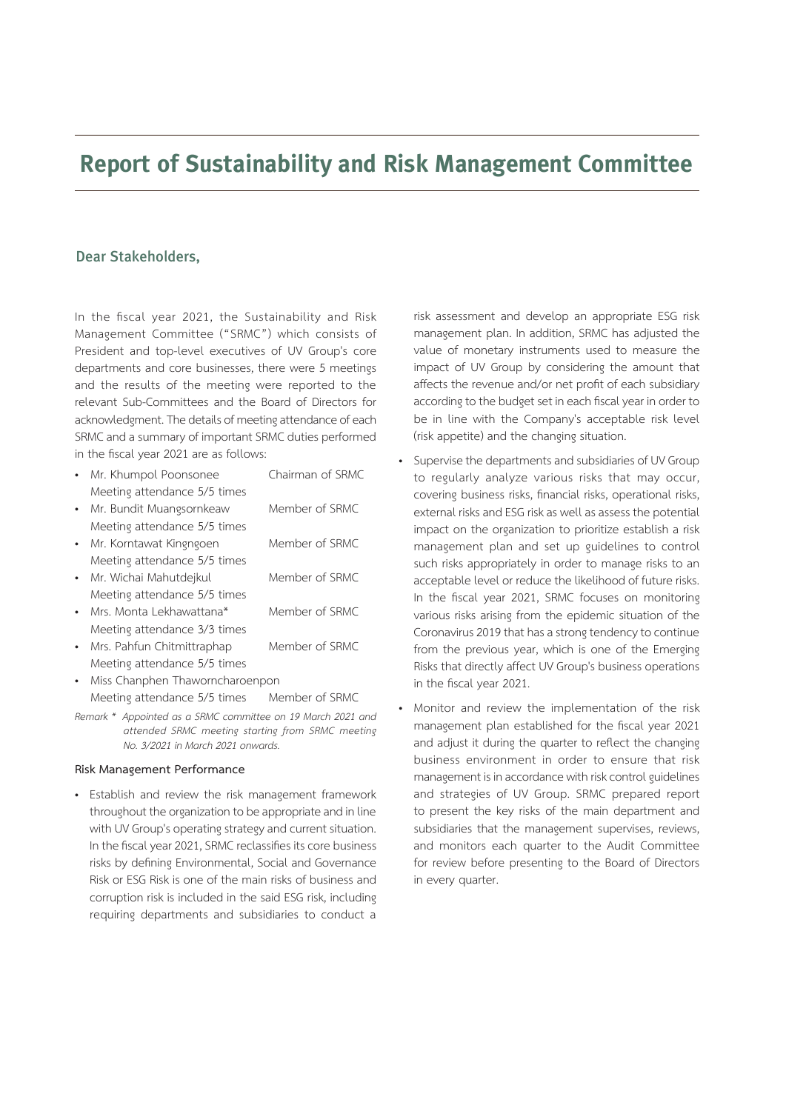## **Report of Sustainability and Risk Management Committee**

## Dear Stakeholders,

In the fiscal year 2021, the Sustainability and Risk Management Committee ("SRMC") which consists of President and top-level executives of UV Group's core departments and core businesses, there were 5 meetings and the results of the meeting were reported to the relevant Sub-Committees and the Board of Directors for acknowledgment. The details of meeting attendance of each SRMC and a summary of important SRMC duties performed in the fiscal year 2021 are as follows:

- Mr. Khumpol Poonsonee Chairman of SRMC Meeting attendance 5/5 times
- Mr. Bundit Muangsornkeaw Member of SRMC Meeting attendance 5/5 times
- Mr. Korntawat Kingngoen Member of SRMC Meeting attendance 5/5 times Mr. Wichai Mahutdeikul Member of SRMC
- Meeting attendance 5/5 times • Mrs. Monta Lekhawattana\* Member of SRMC
- Meeting attendance 3/3 times
- Mrs. Pahfun Chitmittraphap Member of SRMC Meeting attendance 5/5 times
- Miss Chanphen Thaworncharoenpon Meeting attendance 5/5 times Member of SRMC
- *Remark \* Appointed as a SRMC committee on 19 March 2021 and attended SRMC meeting starting from SRMC meeting No. 3/2021 in March 2021 onwards.*

## **Risk Management Performance**

• Establish and review the risk management framework throughout the organization to be appropriate and in line with UV Group's operating strategy and current situation. In the fiscal year 2021, SRMC reclassifies its core business risks by defining Environmental, Social and Governance Risk or ESG Risk is one of the main risks of business and corruption risk is included in the said ESG risk, including requiring departments and subsidiaries to conduct a

risk assessment and develop an appropriate ESG risk management plan. In addition, SRMC has adjusted the value of monetary instruments used to measure the impact of UV Group by considering the amount that affects the revenue and/or net profit of each subsidiary according to the budget set in each fiscal year in order to be in line with the Company's acceptable risk level (risk appetite) and the changing situation.

- Supervise the departments and subsidiaries of UV Group to regularly analyze various risks that may occur, covering business risks, financial risks, operational risks, external risks and ESG risk as well as assess the potential impact on the organization to prioritize establish a risk management plan and set up guidelines to control such risks appropriately in order to manage risks to an acceptable level or reduce the likelihood of future risks. In the fiscal year 2021, SRMC focuses on monitoring various risks arising from the epidemic situation of the Coronavirus 2019 that has a strong tendency to continue from the previous year, which is one of the Emerging Risks that directly affect UV Group's business operations in the fiscal year 2021.
- Monitor and review the implementation of the risk management plan established for the fiscal year 2021 and adjust it during the quarter to reflect the changing business environment in order to ensure that risk management is in accordance with risk control guidelines and strategies of UV Group. SRMC prepared report to present the key risks of the main department and subsidiaries that the management supervises, reviews, and monitors each quarter to the Audit Committee for review before presenting to the Board of Directors in every quarter.